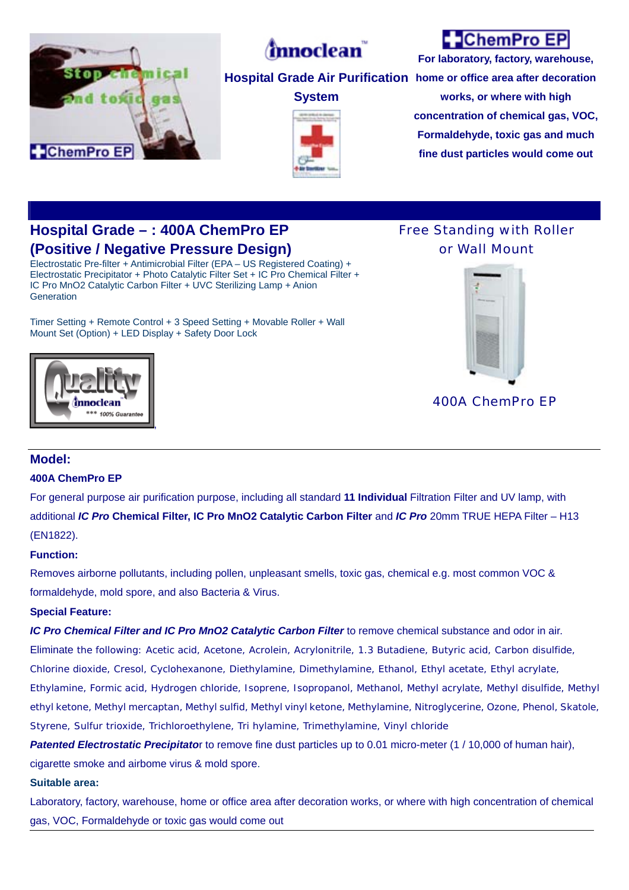

# *(m*noclean)

**System** 

## **ChemPro EP**

**Hospital Grade Air Purification home or office area after decoration For laboratory, factory, warehouse, works, or where with high concentration of chemical gas, VOC, Formaldehyde, toxic gas and much** 

**fine dust particles would come out**

## **Hospital Grade – : 400A ChemPro EP (Positive / Negative Pressure Design)**

Electrostatic Pre-filter + Antimicrobial Filter (EPA – US Registered Coating) + Electrostatic Precipitator + Photo Catalytic Filter Set + IC Pro Chemical Filter + IC Pro MnO2 Catalytic Carbon Filter + UVC Sterilizing Lamp + Anion **Generation** 

Timer Setting + Remote Control + 3 Speed Setting + Movable Roller + Wall Mount Set (Option) + LED Display + Safety Door Lock

### Free Standing with Roller or Wall Mount



mnoclear \*\* 100% Guarani ,

400A ChemPro EP

### **Model:**

### **400A ChemPro EP**

For general purpose air purification purpose, including all standard **11 Individual** Filtration Filter and UV lamp, with additional *IC Pro* **Chemical Filter, IC Pro MnO2 Catalytic Carbon Filter** and *IC Pro* 20mm TRUE HEPA Filter – H13 (EN1822).

#### **Function:**

Removes airborne pollutants, including pollen, unpleasant smells, toxic gas, chemical e.g. most common VOC & formaldehyde, mold spore, and also Bacteria & Virus.

### **Special Feature:**

*IC Pro Chemical Filter and IC Pro MnO2 Catalytic Carbon Filter* to remove chemical substance and odor in air.

Eliminate the following: Acetic acid, Acetone, Acrolein, Acrylonitrile, 1.3 Butadiene, Butyric acid, Carbon disulfide, Chlorine dioxide, Cresol, Cyclohexanone, Diethylamine, Dimethylamine, Ethanol, Ethyl acetate, Ethyl acrylate, Ethylamine, Formic acid, Hydrogen chloride, Isoprene, Isopropanol, Methanol, Methyl acrylate, Methyl disulfide, Methyl ethyl ketone, Methyl mercaptan, Methyl sulfid, Methyl vinyl ketone, Methylamine, Nitroglycerine, Ozone, Phenol, Skatole, Styrene, Sulfur trioxide, Trichloroethylene, Tri hylamine, Trimethylamine, Vinyl chloride

*Patented Electrostatic Precipitato*r to remove fine dust particles up to 0.01 micro-meter (1 / 10,000 of human hair), cigarette smoke and airbome virus & mold spore.

#### **Suitable area:**

Laboratory, factory, warehouse, home or office area after decoration works, or where with high concentration of chemical gas, VOC, Formaldehyde or toxic gas would come out